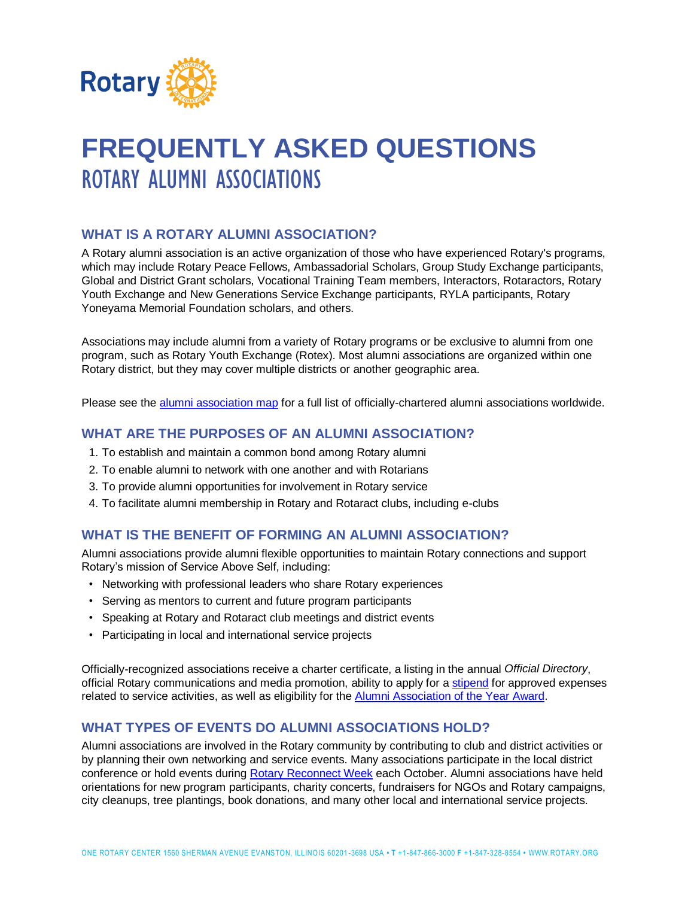

# **FREQUENTLY ASKED QUESTIONS**  ROTARY ALUMNI ASSOCIATIONS

## **WHAT IS A ROTARY ALUMNI ASSOCIATION?**

A Rotary alumni association is an active organization of those who have experienced Rotary's programs, which may include Rotary Peace Fellows, Ambassadorial Scholars, Group Study Exchange participants, Global and District Grant scholars, Vocational Training Team members, Interactors, Rotaractors, Rotary Youth Exchange and New Generations Service Exchange participants, RYLA participants, Rotary Yoneyama Memorial Foundation scholars, and others.

Associations may include alumni from a variety of Rotary programs or be exclusive to alumni from one program, such as Rotary Youth Exchange (Rotex). Most alumni associations are organized within one Rotary district, but they may cover multiple districts or another geographic area.

Please see the [alumni association map](http://j.mp/2rkiRx7) for a full list of officially-chartered alumni associations worldwide.

#### **WHAT ARE THE PURPOSES OF AN ALUMNI ASSOCIATION?**

- 1. To establish and maintain a common bond among Rotary alumni
- 2. To enable alumni to network with one another and with Rotarians
- 3. To provide alumni opportunities for involvement in Rotary service
- 4. To facilitate alumni membership in Rotary and Rotaract clubs, including e-clubs

### **WHAT IS THE BENEFIT OF FORMING AN ALUMNI ASSOCIATION?**

Alumni associations provide alumni flexible opportunities to maintain Rotary connections and support Rotary's mission of Service Above Self, including:

- Networking with professional leaders who share Rotary experiences
- Serving as mentors to current and future program participants
- Speaking at Rotary and Rotaract club meetings and district events
- Participating in local and international service projects

Officially-recognized associations receive a charter certificate, a listing in the annual *Official Directory*, official Rotary communications and media promotion, ability to apply for a [stipend](http://msgfocus.rotary.org/files/amf_highroad_solution/project_464/Stipend_Application_forms/Alumni_Association_Stipend_Application.pdf) for approved expenses related to service activities, as well as eligibility for the [Alumni Association of the Year Award.](https://my.rotary.org/en/document/alumni-association-year-award)

#### **WHAT TYPES OF EVENTS DO ALUMNI ASSOCIATIONS HOLD?**

Alumni associations are involved in the Rotary community by contributing to club and district activities or by planning their own networking and service events. Many associations participate in the local district conference or hold events during [Rotary Reconnect Week](https://xd.wayin.com/display/container/dc/abedd456-7df4-4aac-85f3-2416f4be5008/details) each October. Alumni associations have held orientations for new program participants, charity concerts, fundraisers for NGOs and Rotary campaigns, city cleanups, tree plantings, book donations, and many other local and international service projects.